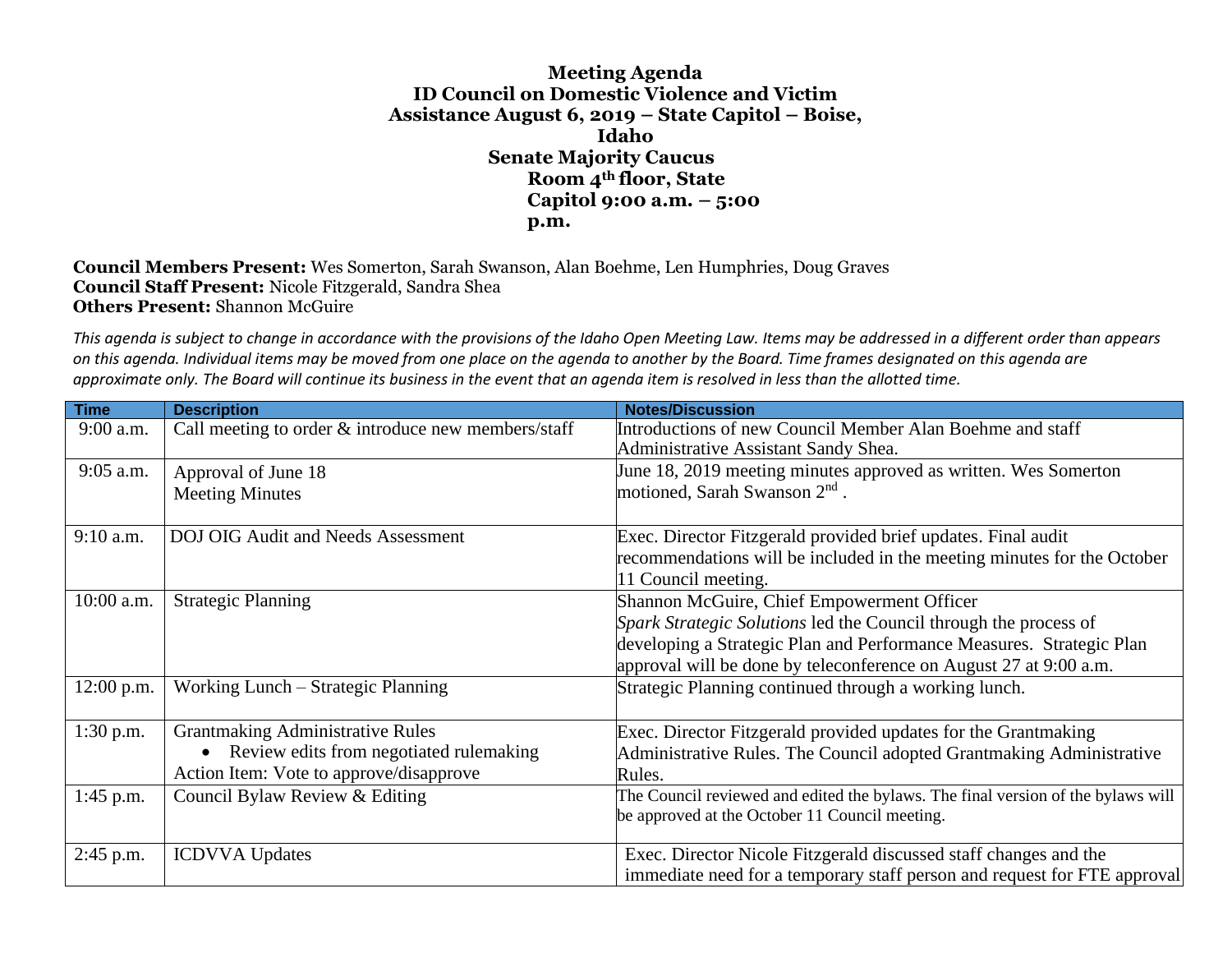**Meeting Agenda ID Council on Domestic Violence and Victim Assistance August 6, 2019 – State Capitol – Boise, Idaho Senate Majority Caucus Room 4th floor, State Capitol 9:00 a.m. – 5:00 p.m.**

**Council Members Present:** Wes Somerton, Sarah Swanson, Alan Boehme, Len Humphries, Doug Graves **Council Staff Present:** Nicole Fitzgerald, Sandra Shea **Others Present:** Shannon McGuire

*This agenda is subject to change in accordance with the provisions of the Idaho Open Meeting Law. Items may be addressed in a different order than appears on this agenda. Individual items may be moved from one place on the agenda to another by the Board. Time frames designated on this agenda are approximate only. The Board will continue its business in the event that an agenda item is resolved in less than the allotted time.*

| <b>Time</b>  | <b>Description</b>                                    | <b>Notes/Discussion</b>                                                          |
|--------------|-------------------------------------------------------|----------------------------------------------------------------------------------|
| 9:00 a.m.    | Call meeting to order $&$ introduce new members/staff | Introductions of new Council Member Alan Boehme and staff                        |
|              |                                                       | Administrative Assistant Sandy Shea.                                             |
| 9:05 a.m.    | Approval of June 18                                   | June 18, 2019 meeting minutes approved as written. Wes Somerton                  |
|              | <b>Meeting Minutes</b>                                | motioned, Sarah Swanson 2 <sup>nd</sup> .                                        |
|              |                                                       |                                                                                  |
| 9:10 a.m.    | <b>DOJ OIG Audit and Needs Assessment</b>             | Exec. Director Fitzgerald provided brief updates. Final audit                    |
|              |                                                       | recommendations will be included in the meeting minutes for the October          |
|              |                                                       | 11 Council meeting.                                                              |
| 10:00 a.m.   | <b>Strategic Planning</b>                             | Shannon McGuire, Chief Empowerment Officer                                       |
|              |                                                       | Spark Strategic Solutions led the Council through the process of                 |
|              |                                                       | developing a Strategic Plan and Performance Measures. Strategic Plan             |
|              |                                                       | approval will be done by teleconference on August 27 at 9:00 a.m.                |
| $12:00$ p.m. | Working Lunch – Strategic Planning                    | Strategic Planning continued through a working lunch.                            |
|              |                                                       |                                                                                  |
| $1:30$ p.m.  | <b>Grantmaking Administrative Rules</b>               | Exec. Director Fitzgerald provided updates for the Grantmaking                   |
|              | Review edits from negotiated rulemaking<br>$\bullet$  | Administrative Rules. The Council adopted Grantmaking Administrative             |
|              | Action Item: Vote to approve/disapprove               | Rules.                                                                           |
| 1:45 p.m.    | Council Bylaw Review & Editing                        | The Council reviewed and edited the bylaws. The final version of the bylaws will |
|              |                                                       | be approved at the October 11 Council meeting.                                   |
|              |                                                       |                                                                                  |
| $2:45$ p.m.  | <b>ICDVVA</b> Updates                                 | Exec. Director Nicole Fitzgerald discussed staff changes and the                 |
|              |                                                       | immediate need for a temporary staff person and request for FTE approval         |